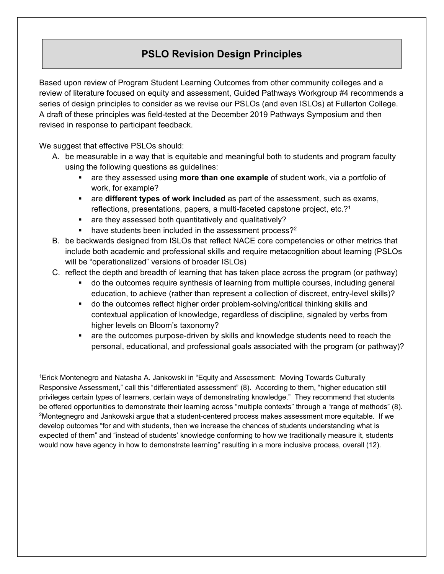## **PSLO Revision Design Principles**

Based upon review of Program Student Learning Outcomes from other community colleges and a review of literature focused on equity and assessment, Guided Pathways Workgroup #4 recommends a series of design principles to consider as we revise our PSLOs (and even ISLOs) at Fullerton College. A draft of these principles was field-tested at the December 2019 Pathways Symposium and then revised in response to participant feedback.

We suggest that effective PSLOs should:

- A. be measurable in a way that is equitable and meaningful both to students and program faculty using the following questions as guidelines:
	- are they assessed using **more than one example** of student work, via a portfolio of work, for example?
	- are **different types of work included** as part of the assessment, such as exams, reflections, presentations, papers, a multi-faceted capstone project, etc.?1
	- **are they assessed both quantitatively and qualitatively?**
	- $\blacksquare$  have students been included in the assessment process?<sup>2</sup>
- B. be backwards designed from ISLOs that reflect NACE core competencies or other metrics that include both academic and professional skills and require metacognition about learning (PSLOs will be "operationalized" versions of broader ISLOs)
- C. reflect the depth and breadth of learning that has taken place across the program (or pathway)
	- do the outcomes require synthesis of learning from multiple courses, including general education, to achieve (rather than represent a collection of discreet, entry-level skills)?
	- do the outcomes reflect higher order problem-solving/critical thinking skills and contextual application of knowledge, regardless of discipline, signaled by verbs from higher levels on Bloom's taxonomy?
	- are the outcomes purpose-driven by skills and knowledge students need to reach the personal, educational, and professional goals associated with the program (or pathway)?

1Erick Montenegro and Natasha A. Jankowski in "Equity and Assessment: Moving Towards Culturally Responsive Assessment," call this "differentiated assessment" (8). According to them, "higher education still privileges certain types of learners, certain ways of demonstrating knowledge." They recommend that students be offered opportunities to demonstrate their learning across "multiple contexts" through a "range of methods" (8). 2Montegnegro and Jankowski argue that a student-centered process makes assessment more equitable. If we develop outcomes "for and with students, then we increase the chances of students understanding what is expected of them" and "instead of students' knowledge conforming to how we traditionally measure it, students would now have agency in how to demonstrate learning" resulting in a more inclusive process, overall (12).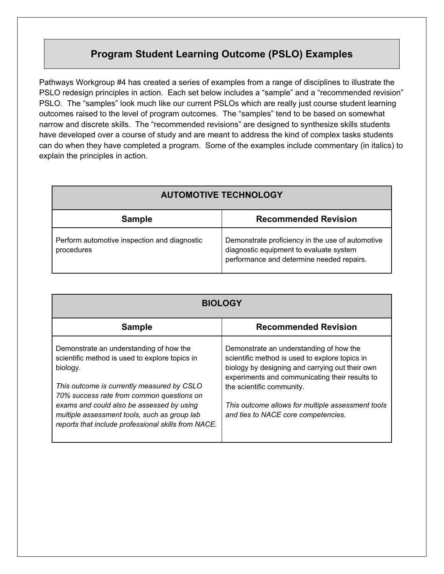## **Program Student Learning Outcome (PSLO) Examples**

Pathways Workgroup #4 has created a series of examples from a range of disciplines to illustrate the PSLO redesign principles in action. Each set below includes a "sample" and a "recommended revision" PSLO. The "samples" look much like our current PSLOs which are really just course student learning outcomes raised to the level of program outcomes. The "samples" tend to be based on somewhat narrow and discrete skills. The "recommended revisions" are designed to synthesize skills students have developed over a course of study and are meant to address the kind of complex tasks students can do when they have completed a program. Some of the examples include commentary (in italics) to explain the principles in action.

| <b>AUTOMOTIVE TECHNOLOGY</b>                               |                                                                                                                                          |
|------------------------------------------------------------|------------------------------------------------------------------------------------------------------------------------------------------|
| <b>Sample</b>                                              | <b>Recommended Revision</b>                                                                                                              |
| Perform automotive inspection and diagnostic<br>procedures | Demonstrate proficiency in the use of automotive<br>diagnostic equipment to evaluate system<br>performance and determine needed repairs. |

| <b>BIOLOGY</b>                                                                                                                                                                                                                                                                                                                                       |                                                                                                                                                                                                                                                                                                                         |
|------------------------------------------------------------------------------------------------------------------------------------------------------------------------------------------------------------------------------------------------------------------------------------------------------------------------------------------------------|-------------------------------------------------------------------------------------------------------------------------------------------------------------------------------------------------------------------------------------------------------------------------------------------------------------------------|
| <b>Sample</b>                                                                                                                                                                                                                                                                                                                                        | <b>Recommended Revision</b>                                                                                                                                                                                                                                                                                             |
| Demonstrate an understanding of how the<br>scientific method is used to explore topics in<br>biology.<br>This outcome is currently measured by CSLO<br>70% success rate from common questions on<br>exams and could also be assessed by using<br>multiple assessment tools, such as group lab<br>reports that include professional skills from NACE. | Demonstrate an understanding of how the<br>scientific method is used to explore topics in<br>biology by designing and carrying out their own<br>experiments and communicating their results to<br>the scientific community.<br>This outcome allows for multiple assessment tools<br>and ties to NACE core competencies. |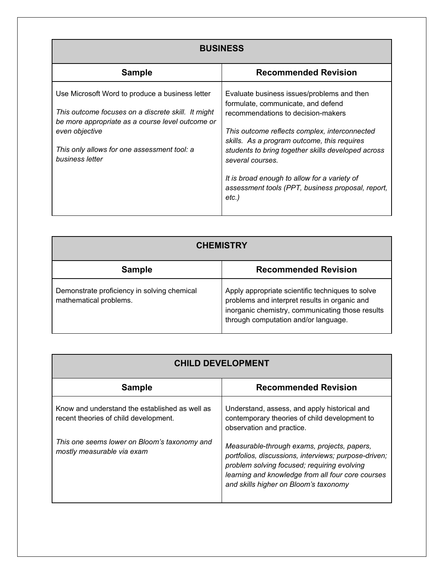| <b>BUSINESS</b>                                                                                                                                                                                                                               |                                                                                                                                                                                                                                                                                                                                                                                                                |
|-----------------------------------------------------------------------------------------------------------------------------------------------------------------------------------------------------------------------------------------------|----------------------------------------------------------------------------------------------------------------------------------------------------------------------------------------------------------------------------------------------------------------------------------------------------------------------------------------------------------------------------------------------------------------|
| <b>Sample</b>                                                                                                                                                                                                                                 | <b>Recommended Revision</b>                                                                                                                                                                                                                                                                                                                                                                                    |
| Use Microsoft Word to produce a business letter<br>This outcome focuses on a discrete skill. It might<br>be more appropriate as a course level outcome or<br>even objective<br>This only allows for one assessment tool: a<br>business letter | Evaluate business issues/problems and then<br>formulate, communicate, and defend<br>recommendations to decision-makers<br>This outcome reflects complex, interconnected<br>skills. As a program outcome, this requires<br>students to bring together skills developed across<br>several courses.<br>It is broad enough to allow for a variety of<br>assessment tools (PPT, business proposal, report,<br>etc.) |

| <b>CHEMISTRY</b>                                                      |                                                                                                                                                                                               |
|-----------------------------------------------------------------------|-----------------------------------------------------------------------------------------------------------------------------------------------------------------------------------------------|
| <b>Sample</b>                                                         | <b>Recommended Revision</b>                                                                                                                                                                   |
| Demonstrate proficiency in solving chemical<br>mathematical problems. | Apply appropriate scientific techniques to solve<br>problems and interpret results in organic and<br>inorganic chemistry, communicating those results<br>through computation and/or language. |

| <b>CHILD DEVELOPMENT</b>                                                                |                                                                                                                                                                                                                                                  |
|-----------------------------------------------------------------------------------------|--------------------------------------------------------------------------------------------------------------------------------------------------------------------------------------------------------------------------------------------------|
| <b>Sample</b>                                                                           | <b>Recommended Revision</b>                                                                                                                                                                                                                      |
| Know and understand the established as well as<br>recent theories of child development. | Understand, assess, and apply historical and<br>contemporary theories of child development to<br>observation and practice.                                                                                                                       |
| This one seems lower on Bloom's taxonomy and<br>mostly measurable via exam              | Measurable-through exams, projects, papers,<br>portfolios, discussions, interviews; purpose-driven;<br>problem solving focused; requiring evolving<br>learning and knowledge from all four core courses<br>and skills higher on Bloom's taxonomy |